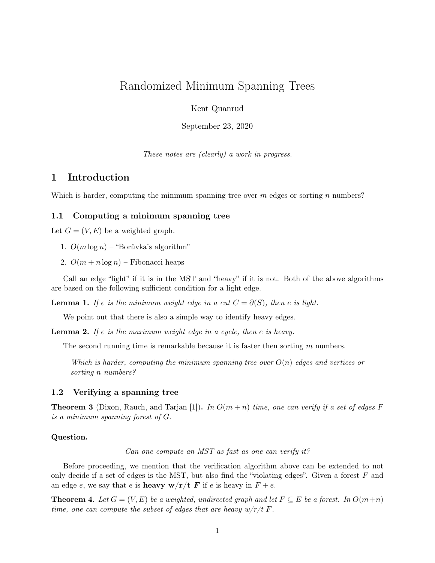# Randomized Minimum Spanning Trees

Kent Quanrud

September 23, 2020

These notes are (clearly) a work in progress.

### 1 Introduction

Which is harder, computing the minimum spanning tree over  $m$  edges or sorting  $n$  numbers?

#### 1.1 Computing a minimum spanning tree

Let  $G = (V, E)$  be a weighted graph.

- 1.  $O(m \log n)$  "Borůvka's algorithm"
- 2.  $O(m + n \log n)$  Fibonacci heaps

Call an edge "light" if it is in the MST and "heavy" if it is not. Both of the above algorithms are based on the following sufficient condition for a light edge.

**Lemma 1.** If e is the minimum weight edge in a cut  $C = \partial(S)$ , then e is light.

We point out that there is also a simple way to identify heavy edges.

**Lemma 2.** If  $e$  is the maximum weight edge in a cycle, then  $e$  is heavy.

The second running time is remarkable because it is faster then sorting m numbers.

Which is harder, computing the minimum spanning tree over  $O(n)$  edges and vertices or sorting n numbers?

#### 1.2 Verifying a spanning tree

**Theorem 3** (Dixon, Rauch, and Tarjan [\[1\]](#page-2-0)). In  $O(m+n)$  time, one can verify if a set of edges F is a minimum spanning forest of G.

#### Question.

Can one compute an MST as fast as one can verify it?

Before proceeding, we mention that the verification algorithm above can be extended to not only decide if a set of edges is the MST, but also find the "violating edges". Given a forest  $F$  and an edge e, we say that e is **heavy**  $w/r/t$  **F** if e is heavy in  $F + e$ .

**Theorem 4.** Let  $G = (V, E)$  be a weighted, undirected graph and let  $F \subseteq E$  be a forest. In  $O(m+n)$ time, one can compute the subset of edges that are heavy  $w/r/t$  F.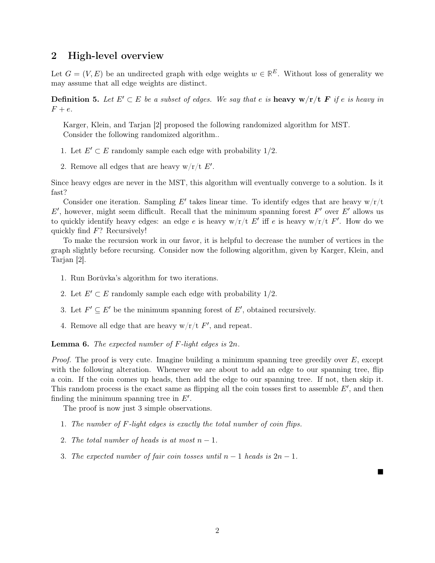# 2 High-level overview

Let  $G = (V, E)$  be an undirected graph with edge weights  $w \in \mathbb{R}^E$ . Without loss of generality we may assume that all edge weights are distinct.

**Definition 5.** Let  $E' \subset E$  be a subset of edges. We say that e is **heavy**  $w/r/t$  **F** if e is heavy in  $F + e.$ 

Karger, Klein, and Tarjan [\[2\]](#page-2-1) proposed the following randomized algorithm for MST. Consider the following randomized algorithm..

1. Let  $E' \subset E$  randomly sample each edge with probability 1/2.

2. Remove all edges that are heavy  $w/r/t E'$ .

Since heavy edges are never in the MST, this algorithm will eventually converge to a solution. Is it fast?

Consider one iteration. Sampling E' takes linear time. To identify edges that are heavy  $w/r/t$  $E'$ , however, might seem difficult. Recall that the minimum spanning forest  $F'$  over  $E'$  allows us to quickly identify heavy edges: an edge e is heavy  $w/r/t E'$  iff e is heavy  $w/r/t F'$ . How do we quickly find  $F$ ? Recursively!

To make the recursion work in our favor, it is helpful to decrease the number of vertices in the graph slightly before recursing. Consider now the following algorithm, given by Karger, Klein, and Tarjan [\[2\]](#page-2-1).

- 1. Run Borůvka's algorithm for two iterations.
- 2. Let  $E' \subset E$  randomly sample each edge with probability 1/2.
- 3. Let  $F' \subseteq E'$  be the minimum spanning forest of  $E'$ , obtained recursively.
- 4. Remove all edge that are heavy  $w/r/t$   $F'$ , and repeat.

**Lemma 6.** The expected number of  $F$ -light edges is  $2n$ .

*Proof.* The proof is very cute. Imagine building a minimum spanning tree greedily over  $E$ , except with the following alteration. Whenever we are about to add an edge to our spanning tree, flip a coin. If the coin comes up heads, then add the edge to our spanning tree. If not, then skip it. This random process is the exact same as flipping all the coin tosses first to assemble  $E'$ , and then finding the minimum spanning tree in  $E'$ .

The proof is now just 3 simple observations.

- 1. The number of F-light edges is exactly the total number of coin flips.
- 2. The total number of heads is at most  $n-1$ .
- 3. The expected number of fair coin tosses until  $n-1$  heads is  $2n-1$ .

 $\blacksquare$